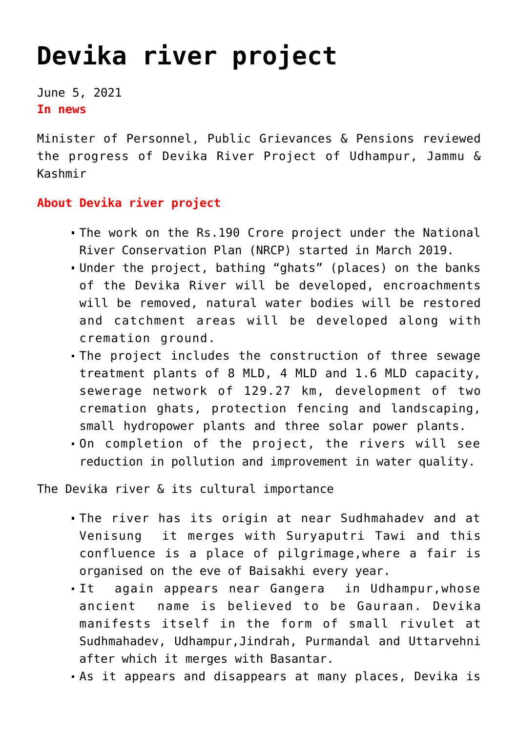## **[Devika river project](https://journalsofindia.com/devika-river-project/)**

June 5, 2021 **In news**

Minister of Personnel, Public Grievances & Pensions reviewed the progress of Devika River Project of Udhampur, Jammu & Kashmir

## **About Devika river project**

- The work on the Rs.190 Crore project under the National River Conservation Plan (NRCP) started in March 2019.
- Under the project, bathing "ghats" (places) on the banks of the Devika River will be developed, encroachments will be removed, natural water bodies will be restored and catchment areas will be developed along with cremation ground.
- The project includes the construction of three sewage treatment plants of 8 MLD, 4 MLD and 1.6 MLD capacity, sewerage network of 129.27 km, development of two cremation ghats, protection fencing and landscaping, small hydropower plants and three solar power plants.
- On completion of the project, the rivers will see reduction in pollution and improvement in water quality.

The Devika river & its cultural importance

- The river has its origin at near Sudhmahadev and at Venisung it merges with Suryaputri Tawi and this confluence is a place of pilgrimage,where a fair is organised on the eve of Baisakhi every year.
- It again appears near Gangera in Udhampur,whose ancient name is believed to be Gauraan. Devika manifests itself in the form of small rivulet at Sudhmahadev, Udhampur,Jindrah, Purmandal and Uttarvehni after which it merges with Basantar.
- As it appears and disappears at many places, Devika is